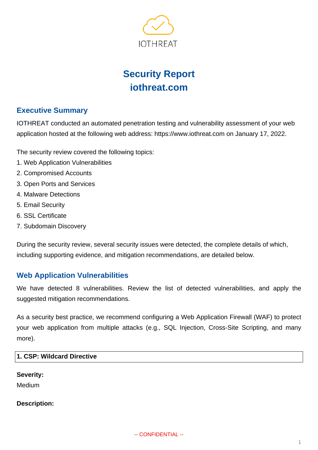

# **Security Report iothreat.com**

# **Executive Summary**

IOTHREAT conducted an automated penetration testing and vulnerability assessment of your web application hosted at the following web address: https://www.iothreat.com on January 17, 2022.

The security review covered the following topics:

- 1. Web Application Vulnerabilities
- 2. Compromised Accounts
- 3. Open Ports and Services
- 4. Malware Detections
- 5. Email Security
- 6. SSL Certificate
- 7. Subdomain Discovery

During the security review, several security issues were detected, the complete details of which, including supporting evidence, and mitigation recommendations, are detailed below.

# **Web Application Vulnerabilities**

We have detected 8 vulnerabilities. Review the list of detected vulnerabilities, and apply the suggested mitigation recommendations.

As a security best practice, we recommend configuring a Web Application Firewall (WAF) to protect your web application from multiple attacks (e.g., SQL Injection, Cross-Site Scripting, and many more).

## **1. CSP: Wildcard Directive**

#### **Severity:**

Medium

#### **Description:**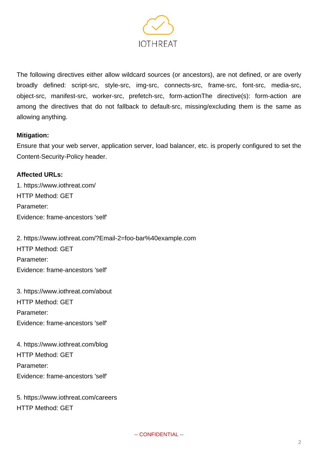

The following directives either allow wildcard sources (or ancestors), are not defined, or are overly broadly defined: script-src, style-src, img-src, connects-src, frame-src, font-src, media-src, object-src, manifest-src, worker-src, prefetch-src, form-actionThe directive(s): form-action are among the directives that do not fallback to default-src, missing/excluding them is the same as allowing anything.

#### **Mitigation:**

Ensure that your web server, application server, load balancer, etc. is properly configured to set the Content-Security-Policy header.

## **Affected URLs:**

1. https://www.iothreat.com/ HTTP Method: GET Parameter: Evidence: frame-ancestors 'self'

2. https://www.iothreat.com/?Email-2=foo-bar%40example.com HTTP Method: GET Parameter: Evidence: frame-ancestors 'self'

3. https://www.iothreat.com/about HTTP Method: GET Parameter: Evidence: frame-ancestors 'self'

4. https://www.iothreat.com/blog HTTP Method: GET Parameter: Evidence: frame-ancestors 'self'

5. https://www.iothreat.com/careers HTTP Method: GET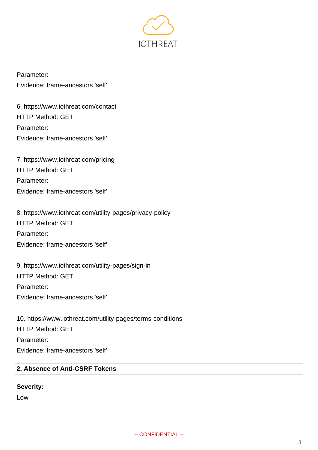

Parameter: Evidence: frame-ancestors 'self'

6. https://www.iothreat.com/contact HTTP Method: GET Parameter: Evidence: frame-ancestors 'self'

7. https://www.iothreat.com/pricing HTTP Method: GET Parameter: Evidence: frame-ancestors 'self'

8. https://www.iothreat.com/utility-pages/privacy-policy HTTP Method: GET Parameter: Evidence: frame-ancestors 'self'

9. https://www.iothreat.com/utility-pages/sign-in HTTP Method: GET Parameter: Evidence: frame-ancestors 'self'

10. https://www.iothreat.com/utility-pages/terms-conditions HTTP Method: GET Parameter: Evidence: frame-ancestors 'self'

## **2. Absence of Anti-CSRF Tokens**

## **Severity:**

Low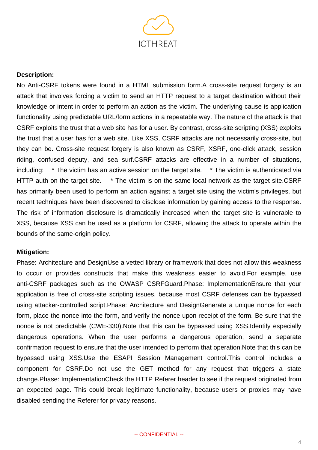

#### **Description:**

No Anti-CSRF tokens were found in a HTML submission form.A cross-site request forgery is an attack that involves forcing a victim to send an HTTP request to a target destination without their knowledge or intent in order to perform an action as the victim. The underlying cause is application functionality using predictable URL/form actions in a repeatable way. The nature of the attack is that CSRF exploits the trust that a web site has for a user. By contrast, cross-site scripting (XSS) exploits the trust that a user has for a web site. Like XSS, CSRF attacks are not necessarily cross-site, but they can be. Cross-site request forgery is also known as CSRF, XSRF, one-click attack, session riding, confused deputy, and sea surf.CSRF attacks are effective in a number of situations, including: \* The victim has an active session on the target site. \* The victim is authenticated via HTTP auth on the target site. \* The victim is on the same local network as the target site.CSRF has primarily been used to perform an action against a target site using the victim's privileges, but recent techniques have been discovered to disclose information by gaining access to the response. The risk of information disclosure is dramatically increased when the target site is vulnerable to XSS, because XSS can be used as a platform for CSRF, allowing the attack to operate within the bounds of the same-origin policy.

#### **Mitigation:**

Phase: Architecture and DesignUse a vetted library or framework that does not allow this weakness to occur or provides constructs that make this weakness easier to avoid.For example, use anti-CSRF packages such as the OWASP CSRFGuard.Phase: ImplementationEnsure that your application is free of cross-site scripting issues, because most CSRF defenses can be bypassed using attacker-controlled script.Phase: Architecture and DesignGenerate a unique nonce for each form, place the nonce into the form, and verify the nonce upon receipt of the form. Be sure that the nonce is not predictable (CWE-330).Note that this can be bypassed using XSS.Identify especially dangerous operations. When the user performs a dangerous operation, send a separate confirmation request to ensure that the user intended to perform that operation.Note that this can be bypassed using XSS.Use the ESAPI Session Management control.This control includes a component for CSRF.Do not use the GET method for any request that triggers a state change.Phase: ImplementationCheck the HTTP Referer header to see if the request originated from an expected page. This could break legitimate functionality, because users or proxies may have disabled sending the Referer for privacy reasons.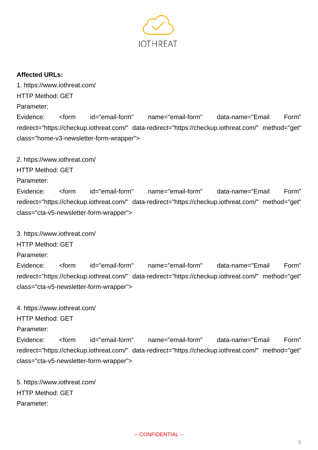

## **Affected URLs:**

1. https://www.iothreat.com/ HTTP Method: GET

Parameter:

Evidence: <form id="email-form" name="email-form" data-name="Email Form" redirect="https://checkup.iothreat.com/" data-redirect="https://checkup.iothreat.com/" method="get" class="home-v3-newsletter-form-wrapper">

2. https://www.iothreat.com/

HTTP Method: GET

Parameter:

Evidence: <form id="email-form" name="email-form" data-name="Email Form" redirect="https://checkup.iothreat.com/" data-redirect="https://checkup.iothreat.com/" method="get" class="cta-v5-newsletter-form-wrapper">

3. https://www.iothreat.com/

HTTP Method: GET

Parameter:

Evidence: <form id="email-form" name="email-form" data-name="Email Form" redirect="https://checkup.iothreat.com/" data-redirect="https://checkup.iothreat.com/" method="get" class="cta-v5-newsletter-form-wrapper">

4. https://www.iothreat.com/

HTTP Method: GET

Parameter:

Evidence: <form id="email-form" name="email-form" data-name="Email Form" redirect="https://checkup.iothreat.com/" data-redirect="https://checkup.iothreat.com/" method="get" class="cta-v5-newsletter-form-wrapper">

5. https://www.iothreat.com/ HTTP Method: GET Parameter: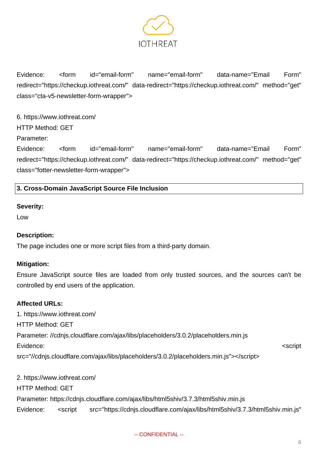

Evidence: <form id="email-form" name="email-form" data-name="Email Form" redirect="https://checkup.iothreat.com/" data-redirect="https://checkup.iothreat.com/" method="get" class="cta-v5-newsletter-form-wrapper">

6. https://www.iothreat.com/ HTTP Method: GET Parameter: Evidence: <form id="email-form" name="email-form" data-name="Email Form" redirect="https://checkup.iothreat.com/" data-redirect="https://checkup.iothreat.com/" method="get" class="fotter-newsletter-form-wrapper">

## **3. Cross-Domain JavaScript Source File Inclusion**

#### **Severity:**

Low

#### **Description:**

The page includes one or more script files from a third-party domain.

#### **Mitigation:**

Ensure JavaScript source files are loaded from only trusted sources, and the sources can't be controlled by end users of the application.

#### **Affected URLs:**

1. https://www.iothreat.com/ HTTP Method: GET Parameter: //cdnjs.cloudflare.com/ajax/libs/placeholders/3.0.2/placeholders.min.js Evidence: </script://www.assett.com/inducer/series/series/series/series/series/series/series/series/ src="//cdnjs.cloudflare.com/ajax/libs/placeholders/3.0.2/placeholders.min.js"></script>

2. https://www.iothreat.com/ HTTP Method: GET Parameter: https://cdnjs.cloudflare.com/ajax/libs/html5shiv/3.7.3/html5shiv.min.js Evidence: <script src="https://cdnjs.cloudflare.com/ajax/libs/html5shiv/3.7.3/html5shiv.min.js"

#### -- CONFIDENTIAL --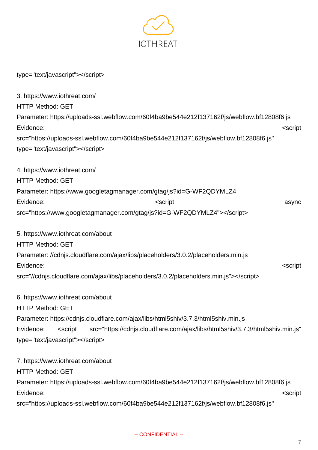

type="text/javascript"></script>

3. https://www.iothreat.com/ HTTP Method: GET Parameter: https://uploads-ssl.webflow.com/60f4ba9be544e212f137162f/js/webflow.bf12808f6.js Evidence: </script://www.assett.com/inducer/series/series/series/series/series/series/series/series/ src="https://uploads-ssl.webflow.com/60f4ba9be544e212f137162f/js/webflow.bf12808f6.js" type="text/javascript"></script> 4. https://www.iothreat.com/ HTTP Method: GET Parameter: https://www.googletagmanager.com/gtag/js?id=G-WF2QDYMLZ4 Evidence: <script async src="https://www.googletagmanager.com/gtag/js?id=G-WF2QDYMLZ4"></script> 5. https://www.iothreat.com/about HTTP Method: GET Parameter: //cdnjs.cloudflare.com/ajax/libs/placeholders/3.0.2/placeholders.min.js Evidence: <script src="//cdnjs.cloudflare.com/ajax/libs/placeholders/3.0.2/placeholders.min.js"></script> 6. https://www.iothreat.com/about HTTP Method: GET Parameter: https://cdnjs.cloudflare.com/ajax/libs/html5shiv/3.7.3/html5shiv.min.js Evidence: <script src="https://cdnjs.cloudflare.com/ajax/libs/html5shiv/3.7.3/html5shiv.min.js" type="text/javascript"></script> 7. https://www.iothreat.com/about HTTP Method: GET Parameter: https://uploads-ssl.webflow.com/60f4ba9be544e212f137162f/js/webflow.bf12808f6.js

Evidence: <script

src="https://uploads-ssl.webflow.com/60f4ba9be544e212f137162f/js/webflow.bf12808f6.js"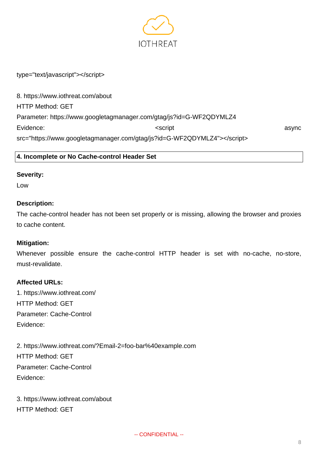

type="text/javascript"></script>

8. https://www.iothreat.com/about HTTP Method: GET Parameter: https://www.googletagmanager.com/gtag/js?id=G-WF2QDYMLZ4 Evidence: and a synchronic service of  $\sim$  seript  $\sim$  asynchronic service asynchronic asynchronic service asynchronic service  $\sim$  asynchronic service asynchronic service asynchronic service service service service servic src="https://www.googletagmanager.com/gtag/js?id=G-WF2QDYMLZ4"></script>

**4. Incomplete or No Cache-control Header Set**

#### **Severity:**

Low

#### **Description:**

The cache-control header has not been set properly or is missing, allowing the browser and proxies to cache content.

#### **Mitigation:**

Whenever possible ensure the cache-control HTTP header is set with no-cache, no-store, must-revalidate.

#### **Affected URLs:**

1. https://www.iothreat.com/ HTTP Method: GET Parameter: Cache-Control Evidence:

2. https://www.iothreat.com/?Email-2=foo-bar%40example.com HTTP Method: GET Parameter: Cache-Control Evidence:

3. https://www.iothreat.com/about HTTP Method: GET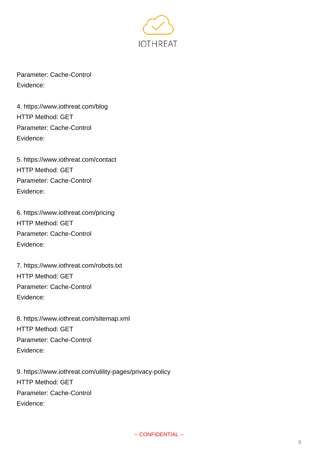

Parameter: Cache-Control Evidence:

4. https://www.iothreat.com/blog HTTP Method: GET Parameter: Cache-Control Evidence:

5. https://www.iothreat.com/contact HTTP Method: GET Parameter: Cache-Control Evidence:

6. https://www.iothreat.com/pricing HTTP Method: GET Parameter: Cache-Control Evidence:

7. https://www.iothreat.com/robots.txt HTTP Method: GET Parameter: Cache-Control Evidence:

8. https://www.iothreat.com/sitemap.xml HTTP Method: GET Parameter: Cache-Control Evidence:

9. https://www.iothreat.com/utility-pages/privacy-policy HTTP Method: GET Parameter: Cache-Control Evidence: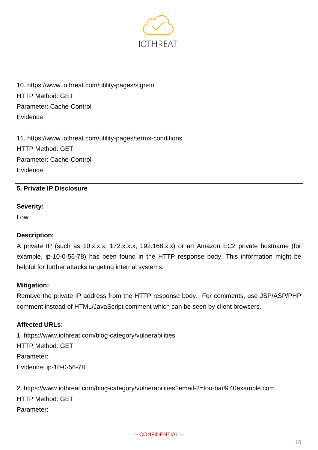

10. https://www.iothreat.com/utility-pages/sign-in HTTP Method: GET Parameter: Cache-Control Evidence:

11. https://www.iothreat.com/utility-pages/terms-conditions HTTP Method: GET Parameter: Cache-Control Evidence:

## **5. Private IP Disclosure**

#### **Severity:**

Low

#### **Description:**

A private IP (such as 10.x.x.x, 172.x.x.x, 192.168.x.x) or an Amazon EC2 private hostname (for example, ip-10-0-56-78) has been found in the HTTP response body. This information might be helpful for further attacks targeting internal systems.

#### **Mitigation:**

Remove the private IP address from the HTTP response body. For comments, use JSP/ASP/PHP comment instead of HTML/JavaScript comment which can be seen by client browsers.

#### **Affected URLs:**

1. https://www.iothreat.com/blog-category/vulnerabilities HTTP Method: GET Parameter: Evidence: ip-10-0-56-78

2. https://www.iothreat.com/blog-category/vulnerabilities?email-2=foo-bar%40example.com HTTP Method: GET Parameter: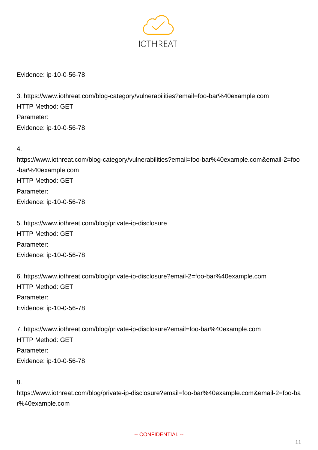

Evidence: ip-10-0-56-78

3. https://www.iothreat.com/blog-category/vulnerabilities?email=foo-bar%40example.com HTTP Method: GET Parameter: Evidence: ip-10-0-56-78

4.

https://www.iothreat.com/blog-category/vulnerabilities?email=foo-bar%40example.com&email-2=foo -bar%40example.com HTTP Method: GET Parameter: Evidence: ip-10-0-56-78

5. https://www.iothreat.com/blog/private-ip-disclosure HTTP Method: GET Parameter: Evidence: ip-10-0-56-78

6. https://www.iothreat.com/blog/private-ip-disclosure?email-2=foo-bar%40example.com HTTP Method: GET Parameter: Evidence: ip-10-0-56-78

7. https://www.iothreat.com/blog/private-ip-disclosure?email=foo-bar%40example.com HTTP Method: GET Parameter: Evidence: ip-10-0-56-78

## 8.

https://www.iothreat.com/blog/private-ip-disclosure?email=foo-bar%40example.com&email-2=foo-ba r%40example.com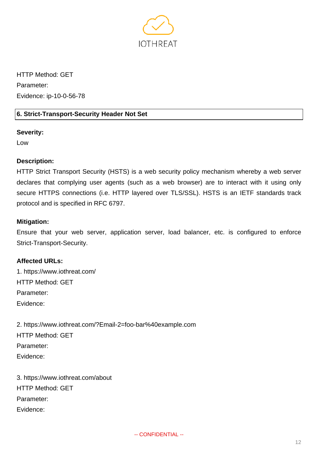

HTTP Method: GET Parameter: Evidence: ip-10-0-56-78

## **6. Strict-Transport-Security Header Not Set**

## **Severity:**

Low

## **Description:**

HTTP Strict Transport Security (HSTS) is a web security policy mechanism whereby a web server declares that complying user agents (such as a web browser) are to interact with it using only secure HTTPS connections (i.e. HTTP layered over TLS/SSL). HSTS is an IETF standards track protocol and is specified in RFC 6797.

## **Mitigation:**

Ensure that your web server, application server, load balancer, etc. is configured to enforce Strict-Transport-Security.

## **Affected URLs:**

1. https://www.iothreat.com/ HTTP Method: GET Parameter: Evidence:

2. https://www.iothreat.com/?Email-2=foo-bar%40example.com HTTP Method: GET Parameter: Evidence:

3. https://www.iothreat.com/about HTTP Method: GET Parameter: Evidence: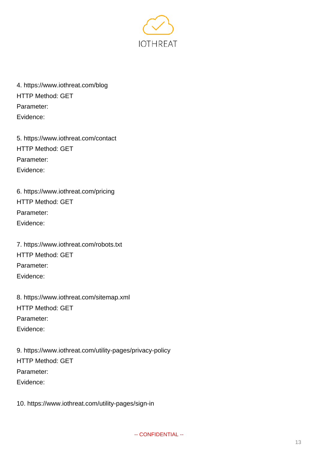

4. https://www.iothreat.com/blog HTTP Method: GET Parameter: Evidence:

5. https://www.iothreat.com/contact HTTP Method: GET Parameter: Evidence:

6. https://www.iothreat.com/pricing HTTP Method: GET Parameter: Evidence:

7. https://www.iothreat.com/robots.txt HTTP Method: GET Parameter: Evidence:

8. https://www.iothreat.com/sitemap.xml HTTP Method: GET Parameter: Evidence:

9. https://www.iothreat.com/utility-pages/privacy-policy HTTP Method: GET Parameter: Evidence:

10. https://www.iothreat.com/utility-pages/sign-in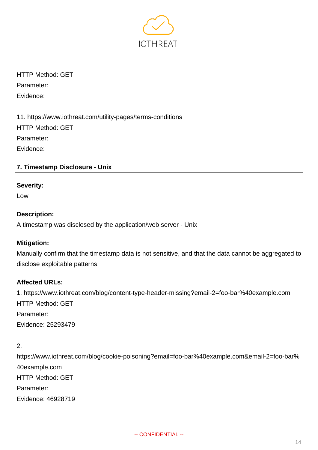

HTTP Method: GET Parameter: Evidence:

11. https://www.iothreat.com/utility-pages/terms-conditions HTTP Method: GET Parameter: Evidence:

## **7. Timestamp Disclosure - Unix**

#### **Severity:**

Low

#### **Description:**

A timestamp was disclosed by the application/web server - Unix

#### **Mitigation:**

Manually confirm that the timestamp data is not sensitive, and that the data cannot be aggregated to disclose exploitable patterns.

## **Affected URLs:**

1. https://www.iothreat.com/blog/content-type-header-missing?email-2=foo-bar%40example.com HTTP Method: GET Parameter: Evidence: 25293479

2.

https://www.iothreat.com/blog/cookie-poisoning?email=foo-bar%40example.com&email-2=foo-bar% 40example.com HTTP Method: GET Parameter: Evidence: 46928719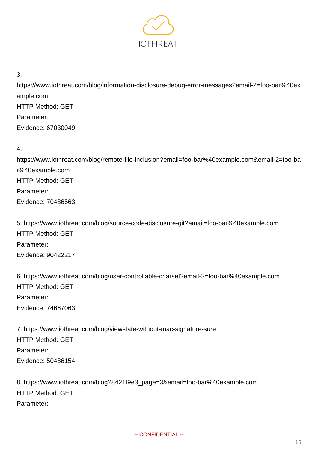

3.

https://www.iothreat.com/blog/information-disclosure-debug-error-messages?email-2=foo-bar%40ex ample.com HTTP Method: GET Parameter: Evidence: 67030049

4.

https://www.iothreat.com/blog/remote-file-inclusion?email=foo-bar%40example.com&email-2=foo-ba r%40example.com HTTP Method: GET Parameter: Evidence: 70486563

5. https://www.iothreat.com/blog/source-code-disclosure-git?email=foo-bar%40example.com HTTP Method: GET Parameter: Evidence: 90422217

6. https://www.iothreat.com/blog/user-controllable-charset?email-2=foo-bar%40example.com HTTP Method: GET Parameter: Evidence: 74667063

7. https://www.iothreat.com/blog/viewstate-without-mac-signature-sure HTTP Method: GET Parameter: Evidence: 50486154

8. https://www.iothreat.com/blog?8421f9e3\_page=3&email=foo-bar%40example.com HTTP Method: GET Parameter: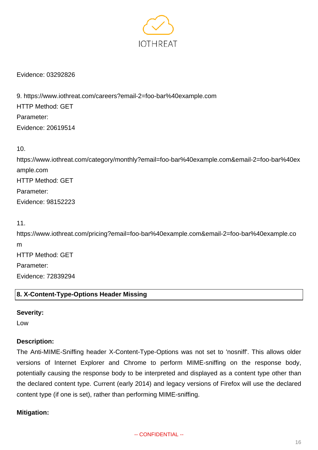

Evidence: 03292826

9. https://www.iothreat.com/careers?email-2=foo-bar%40example.com HTTP Method: GET Parameter: Evidence: 20619514

10.

https://www.iothreat.com/category/monthly?email=foo-bar%40example.com&email-2=foo-bar%40ex ample.com HTTP Method: GET Parameter: Evidence: 98152223

11.

https://www.iothreat.com/pricing?email=foo-bar%40example.com&email-2=foo-bar%40example.co m HTTP Method: GET Parameter: Evidence: 72839294

## **8. X-Content-Type-Options Header Missing**

#### **Severity:**

Low

## **Description:**

The Anti-MIME-Sniffing header X-Content-Type-Options was not set to 'nosniff'. This allows older versions of Internet Explorer and Chrome to perform MIME-sniffing on the response body, potentially causing the response body to be interpreted and displayed as a content type other than the declared content type. Current (early 2014) and legacy versions of Firefox will use the declared content type (if one is set), rather than performing MIME-sniffing.

## **Mitigation:**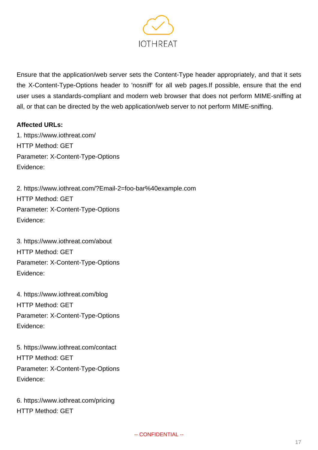

Ensure that the application/web server sets the Content-Type header appropriately, and that it sets the X-Content-Type-Options header to 'nosniff' for all web pages.If possible, ensure that the end user uses a standards-compliant and modern web browser that does not perform MIME-sniffing at all, or that can be directed by the web application/web server to not perform MIME-sniffing.

## **Affected URLs:**

1. https://www.iothreat.com/ HTTP Method: GET Parameter: X-Content-Type-Options Evidence:

2. https://www.iothreat.com/?Email-2=foo-bar%40example.com HTTP Method: GET Parameter: X-Content-Type-Options Evidence:

3. https://www.iothreat.com/about HTTP Method: GET Parameter: X-Content-Type-Options Evidence:

4. https://www.iothreat.com/blog HTTP Method: GET Parameter: X-Content-Type-Options Evidence:

5. https://www.iothreat.com/contact HTTP Method: GET Parameter: X-Content-Type-Options Evidence:

6. https://www.iothreat.com/pricing HTTP Method: GET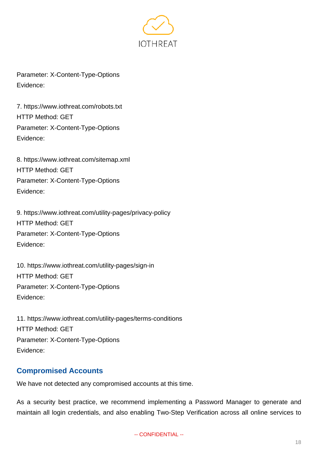

Parameter: X-Content-Type-Options Evidence:

7. https://www.iothreat.com/robots.txt HTTP Method: GET Parameter: X-Content-Type-Options Evidence:

8. https://www.iothreat.com/sitemap.xml HTTP Method: GET Parameter: X-Content-Type-Options Evidence:

9. https://www.iothreat.com/utility-pages/privacy-policy HTTP Method: GET Parameter: X-Content-Type-Options Evidence:

10. https://www.iothreat.com/utility-pages/sign-in HTTP Method: GET Parameter: X-Content-Type-Options Evidence:

11. https://www.iothreat.com/utility-pages/terms-conditions HTTP Method: GET Parameter: X-Content-Type-Options Evidence:

# **Compromised Accounts**

We have not detected any compromised accounts at this time.

As a security best practice, we recommend implementing a Password Manager to generate and maintain all login credentials, and also enabling Two-Step Verification across all online services to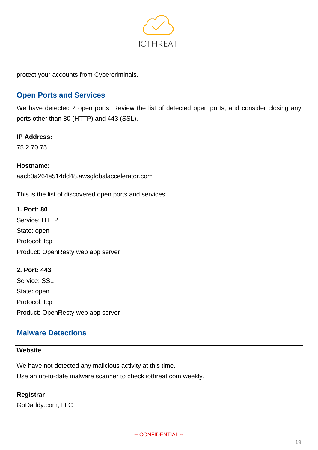

protect your accounts from Cybercriminals.

# **Open Ports and Services**

We have detected 2 open ports. Review the list of detected open ports, and consider closing any ports other than 80 (HTTP) and 443 (SSL).

#### **IP Address:**

75.2.70.75

## **Hostname:**

aacb0a264e514dd48.awsglobalaccelerator.com

This is the list of discovered open ports and services:

**1. Port: 80** Service: HTTP State: open Protocol: tcp Product: OpenResty web app server

**2. Port: 443** Service: SSL State: open Protocol: tcp Product: OpenResty web app server

# **Malware Detections**

## **Website**

We have not detected any malicious activity at this time.

Use an up-to-date malware scanner to check iothreat.com weekly.

#### **Registrar**

GoDaddy.com, LLC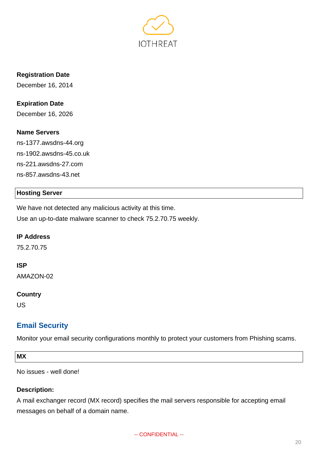

**Registration Date**

December 16, 2014

**Expiration Date** December 16, 2026

#### **Name Servers**

ns-1377.awsdns-44.org ns-1902.awsdns-45.co.uk ns-221.awsdns-27.com ns-857.awsdns-43.net

## **Hosting Server**

We have not detected any malicious activity at this time. Use an up-to-date malware scanner to check 75.2.70.75 weekly.

#### **IP Address**

75.2.70.75

#### **ISP**

AMAZON-02

#### **Country**

US

# **Email Security**

Monitor your email security configurations monthly to protect your customers from Phishing scams.

**MX**

No issues - well done!

## **Description:**

A mail exchanger record (MX record) specifies the mail servers responsible for accepting email messages on behalf of a domain name.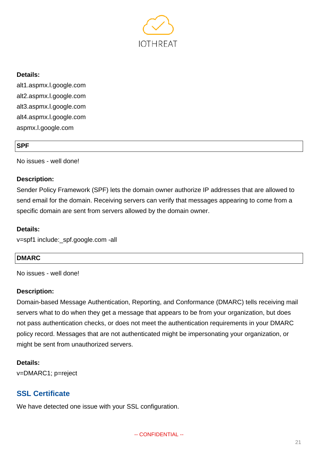

## **Details:**

alt1.aspmx.l.google.com alt2.aspmx.l.google.com alt3.aspmx.l.google.com alt4.aspmx.l.google.com aspmx.l.google.com

#### **SPF**

No issues - well done!

## **Description:**

Sender Policy Framework (SPF) lets the domain owner authorize IP addresses that are allowed to send email for the domain. Receiving servers can verify that messages appearing to come from a specific domain are sent from servers allowed by the domain owner.

#### **Details:**

v=spf1 include:\_spf.google.com -all

## **DMARC**

No issues - well done!

#### **Description:**

Domain-based Message Authentication, Reporting, and Conformance (DMARC) tells receiving mail servers what to do when they get a message that appears to be from your organization, but does not pass authentication checks, or does not meet the authentication requirements in your DMARC policy record. Messages that are not authenticated might be impersonating your organization, or might be sent from unauthorized servers.

#### **Details:**

v=DMARC1; p=reject

# **SSL Certificate**

We have detected one issue with your SSL configuration.